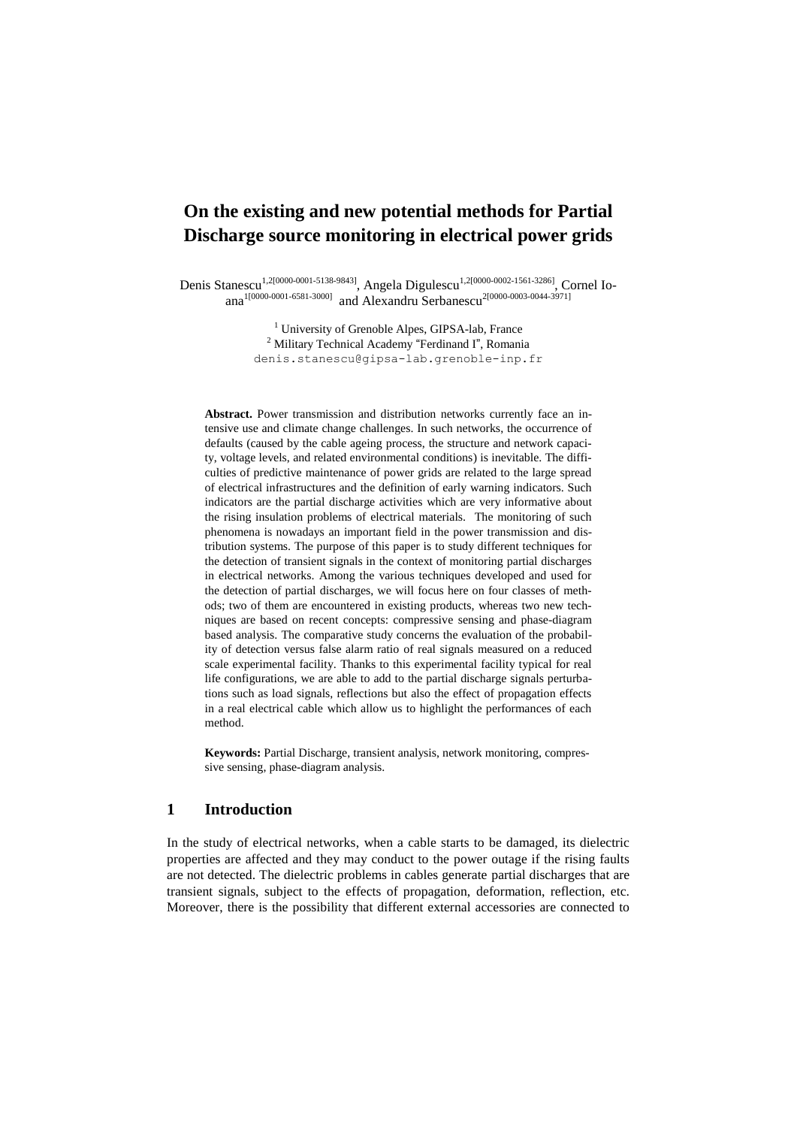# **On the existing and new potential methods for Partial Discharge source monitoring in electrical power grids**

Denis Stanescu<sup>1,2[0000-0001-5138-9843]</sup>, Angela Digulescu<sup>1,2[\[0000-0002-1561-3286\]](https://orcid.org/0000-0002-1561-3286)</sup>, Cornel Io-ana<sup>1[0000-0001-6581-3000]</sup> and Alexandru Serbanescu<sup>2[\[0000-0003-0044-3971\]](https://orcid.org/0000-0003-0044-3971)</sup>

> <sup>1</sup> University of Grenoble Alpes, GIPSA-lab, France <sup>2</sup> Military Technical Academy "Ferdinand I", Romania denis.stanescu@gipsa-lab.grenoble-inp.fr

**Abstract.** Power transmission and distribution networks currently face an intensive use and climate change challenges. In such networks, the occurrence of defaults (caused by the cable ageing process, the structure and network capacity, voltage levels, and related environmental conditions) is inevitable. The difficulties of predictive maintenance of power grids are related to the large spread of electrical infrastructures and the definition of early warning indicators. Such indicators are the partial discharge activities which are very informative about the rising insulation problems of electrical materials. The monitoring of such phenomena is nowadays an important field in the power transmission and distribution systems. The purpose of this paper is to study different techniques for the detection of transient signals in the context of monitoring partial discharges in electrical networks. Among the various techniques developed and used for the detection of partial discharges, we will focus here on four classes of methods; two of them are encountered in existing products, whereas two new techniques are based on recent concepts: compressive sensing and phase-diagram based analysis. The comparative study concerns the evaluation of the probability of detection versus false alarm ratio of real signals measured on a reduced scale experimental facility. Thanks to this experimental facility typical for real life configurations, we are able to add to the partial discharge signals perturbations such as load signals, reflections but also the effect of propagation effects in a real electrical cable which allow us to highlight the performances of each method.

**Keywords:** Partial Discharge, transient analysis, network monitoring, compressive sensing, phase-diagram analysis.

# **1 Introduction**

In the study of electrical networks, when a cable starts to be damaged, its dielectric properties are affected and they may conduct to the power outage if the rising faults are not detected. The dielectric problems in cables generate partial discharges that are transient signals, subject to the effects of propagation, deformation, reflection, etc. Moreover, there is the possibility that different external accessories are connected to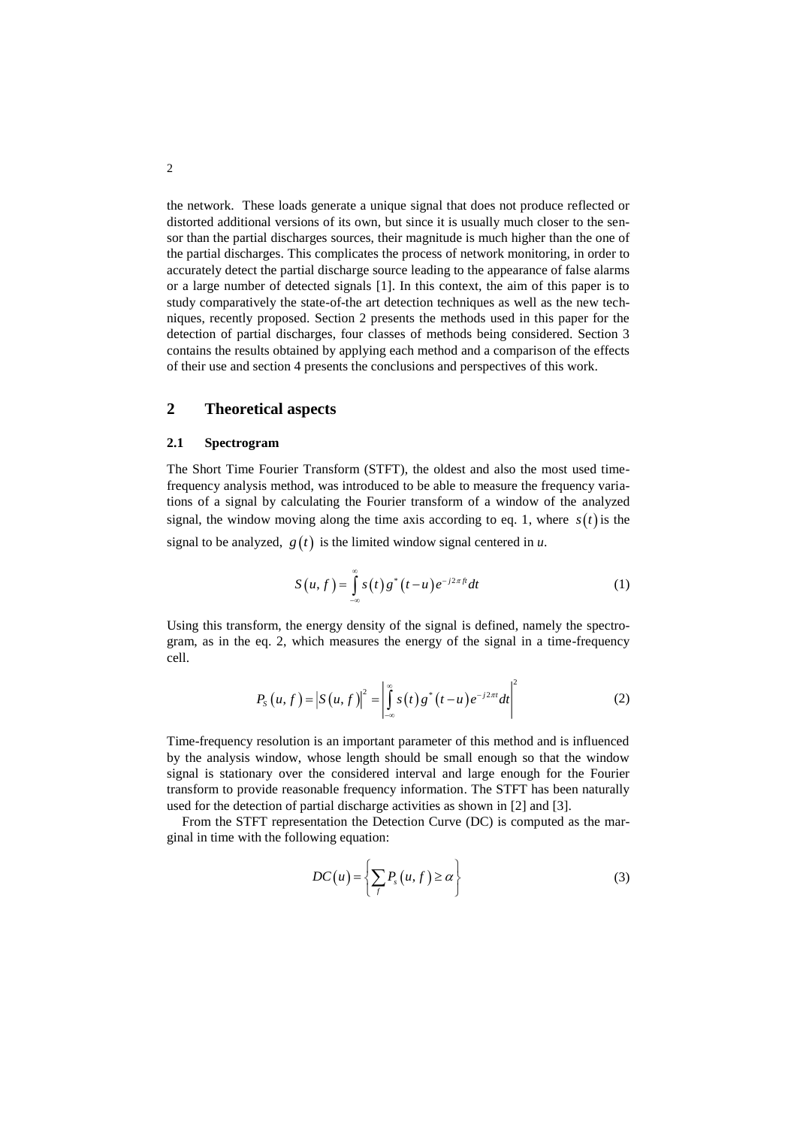the network. These loads generate a unique signal that does not produce reflected or distorted additional versions of its own, but since it is usually much closer to the sensor than the partial discharges sources, their magnitude is much higher than the one of the partial discharges. This complicates the process of network monitoring, in order to accurately detect the partial discharge source leading to the appearance of false alarms or a large number of detected signals [1]. In this context, the aim of this paper is to study comparatively the state-of-the art detection techniques as well as the new techniques, recently proposed. Section 2 presents the methods used in this paper for the detection of partial discharges, four classes of methods being considered. Section 3 contains the results obtained by applying each method and a comparison of the effects of their use and section 4 presents the conclusions and perspectives of this work.

# **2 Theoretical aspects**

#### **2.1 Spectrogram**

The Short Time Fourier Transform (STFT), the oldest and also the most used timefrequency analysis method, was introduced to be able to measure the frequency variations of a signal by calculating the Fourier transform of a window of the analyzed signal, the window moving along the time axis according to eq. 1, where  $s(t)$  is the signal to be analyzed,  $g(t)$  is the limited window signal centered in *u*.

$$
S(u,f) = \int_{-\infty}^{\infty} s(t) g^*(t-u) e^{-j2\pi ft} dt
$$
 (1)

Using this transform, the energy density of the signal is defined, namely the spectrogram, as in the eq. 2, which measures the energy of the signal in a time-frequency cell.

$$
P_{S}(u,f) = |S(u,f)|^{2} = \left|\int_{-\infty}^{\infty} s(t) g^{*}(t-u) e^{-j2\pi t} dt\right|^{2}
$$
 (2)

Time-frequency resolution is an important parameter of this method and is influenced by the analysis window, whose length should be small enough so that the window signal is stationary over the considered interval and large enough for the Fourier transform to provide reasonable frequency information. The STFT has been naturally used for the detection of partial discharge activities as shown in [2] and [3].

From the STFT representation the Detection Curve (DC) is computed as the marginal in time with the following equation:

$$
DC(u) = \left\{ \sum_{f} P_s(u, f) \ge \alpha \right\}
$$
 (3)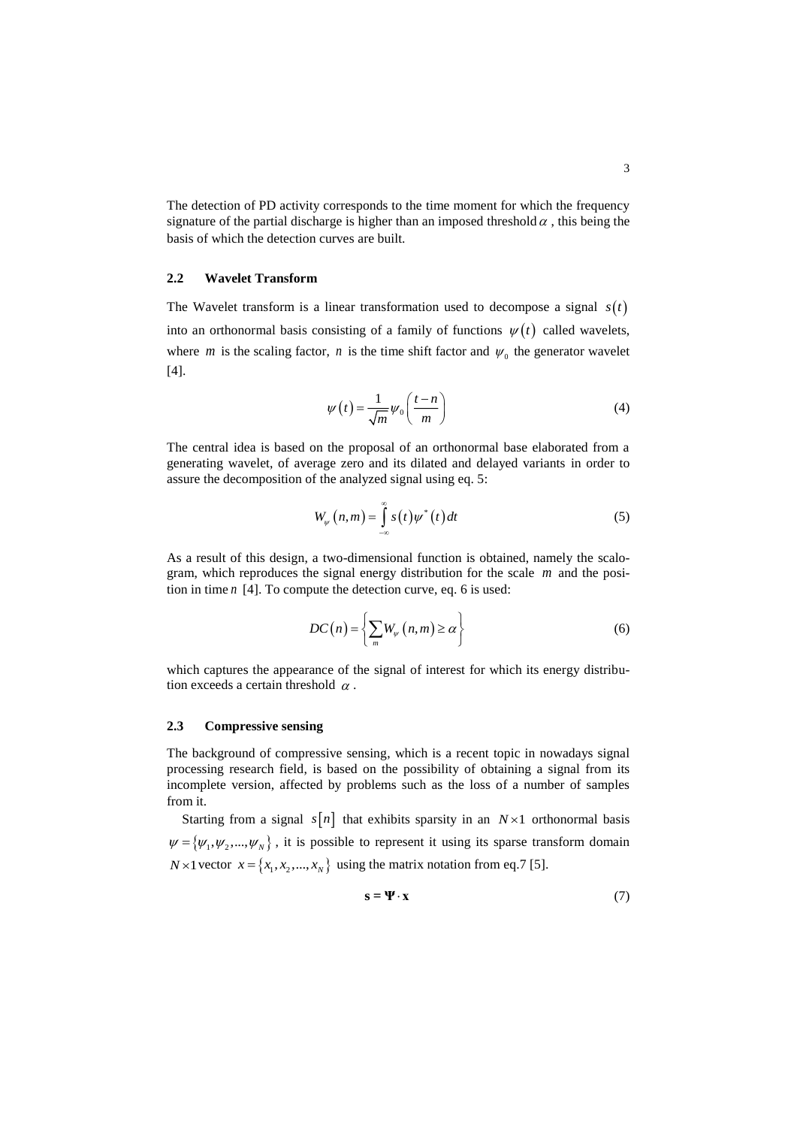The detection of PD activity corresponds to the time moment for which the frequency signature of the partial discharge is higher than an imposed threshold  $\alpha$ , this being the basis of which the detection curves are built.

### **2.2 Wavelet Transform**

The Wavelet transform is a linear transformation used to decompose a signal  $s(t)$ into an orthonormal basis consisting of a family of functions  $\psi(t)$  called wavelets, where *m* is the scaling factor, *n* is the time shift factor and  $\psi_0$  the generator wavelet [4].

$$
\psi(t) = \frac{1}{\sqrt{m}} \psi_0\left(\frac{t-n}{m}\right) \tag{4}
$$

The central idea is based on the proposal of an orthonormal base elaborated from a generating wavelet, of average zero and its dilated and delayed variants in order to assure the decomposition of the analyzed signal using eq. 5:

$$
W_{\psi}(n,m) = \int_{-\infty}^{\infty} s(t) \psi^*(t) dt
$$
 (5)

As a result of this design, a two-dimensional function is obtained, namely the scalogram, which reproduces the signal energy distribution for the scale *m* and the position in time *n* [4]. To compute the detection curve, eq. 6 is used:

$$
DC(n) = \left\{ \sum_{m} W_{\psi}(n, m) \ge \alpha \right\}
$$
 (6)

which captures the appearance of the signal of interest for which its energy distribution exceeds a certain threshold  $\alpha$ .

### **2.3 Compressive sensing**

The background of compressive sensing, which is a recent topic in nowadays signal processing research field, is based on the possibility of obtaining a signal from its incomplete version, affected by problems such as the loss of a number of samples from it.

Starting from a signal  $s[n]$  that exhibits sparsity in an  $N \times 1$  orthonormal basis  $\psi = {\psi_1, \psi_2, ..., \psi_N}$ , it is possible to represent it using its sparse transform domain *N* × 1 vector  $x = \{x_1, x_2, ..., x_N\}$  using the matrix notation from eq.7 [5].

$$
\mathbf{s} = \mathbf{\Psi} \cdot \mathbf{x} \tag{7}
$$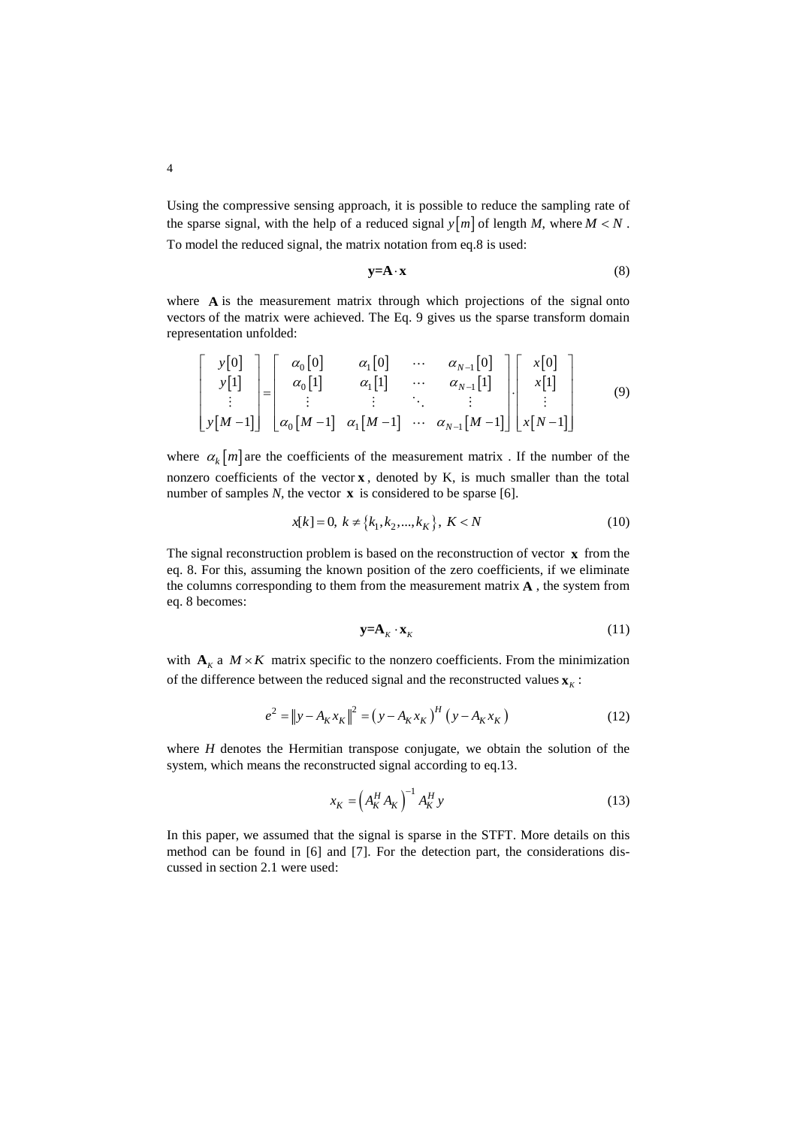Using the compressive sensing approach, it is possible to reduce the sampling rate of the sparse signal, with the help of a reduced signal  $y[m]$  of length *M*, where  $M < N$ . To model the reduced signal, the matrix notation from eq.8 is used:

$$
y = A \cdot x \tag{8}
$$

where A is the measurement matrix through which projections of the signal onto vectors of the matrix were achieved. The Eq. 9 gives us the sparse transform domain representation unfolded:

$$
\begin{bmatrix}\ny[0] \\
y[1] \\
\vdots \\
y[M-1]\n\end{bmatrix} =\n\begin{bmatrix}\n\alpha_0[0] & \alpha_1[0] & \cdots & \alpha_{N-1}[0] \\
\alpha_0[1] & \alpha_1[1] & \cdots & \alpha_{N-1}[1] \\
\vdots & \vdots & \ddots & \vdots \\
\alpha_0[M-1] & \alpha_1[M-1] & \cdots & \alpha_{N-1}[M-1]\n\end{bmatrix}\n\begin{bmatrix}\nx[0] \\
x[1] \\
\vdots \\
x[N-1]\n\end{bmatrix}
$$
\n(9)

where  $\alpha_k[m]$  are the coefficients of the measurement matrix. If the number of the nonzero coefficients of the vector $x$ , denoted by K, is much smaller than the total number of samples  $N$ , the vector  $\bf{x}$  is considered to be sparse [6].

$$
x[k] = 0, \ k \neq \{k_1, k_2, \dots, k_K\}, \ K < N \tag{10}
$$

The signal reconstruction problem is based on the reconstruction of vector **x** from the eq. 8. For this, assuming the known position of the zero coefficients, if we eliminate the columns corresponding to them from the measurement matrix **A** , the system from eq. 8 becomes:

$$
\mathbf{y} = \mathbf{A}_K \cdot \mathbf{x}_K \tag{11}
$$

with  $\mathbf{A}_k$  a  $M \times K$  matrix specific to the nonzero coefficients. From the minimization of the difference between the reduced signal and the reconstructed values  $\mathbf{x}_k$ :

$$
e^{2} = ||y - A_{K}x_{K}||^{2} = (y - A_{K}x_{K})^{H} (y - A_{K}x_{K})
$$
\n(12)

where *H* denotes the Hermitian transpose conjugate, we obtain the solution of the system, which means the reconstructed signal according to eq.13.

$$
x_K = \left(A_K^H A_K\right)^{-1} A_K^H y \tag{13}
$$

In this paper, we assumed that the signal is sparse in the STFT. More details on this method can be found in [6] and [7]. For the detection part, the considerations discussed in section 2.1 were used: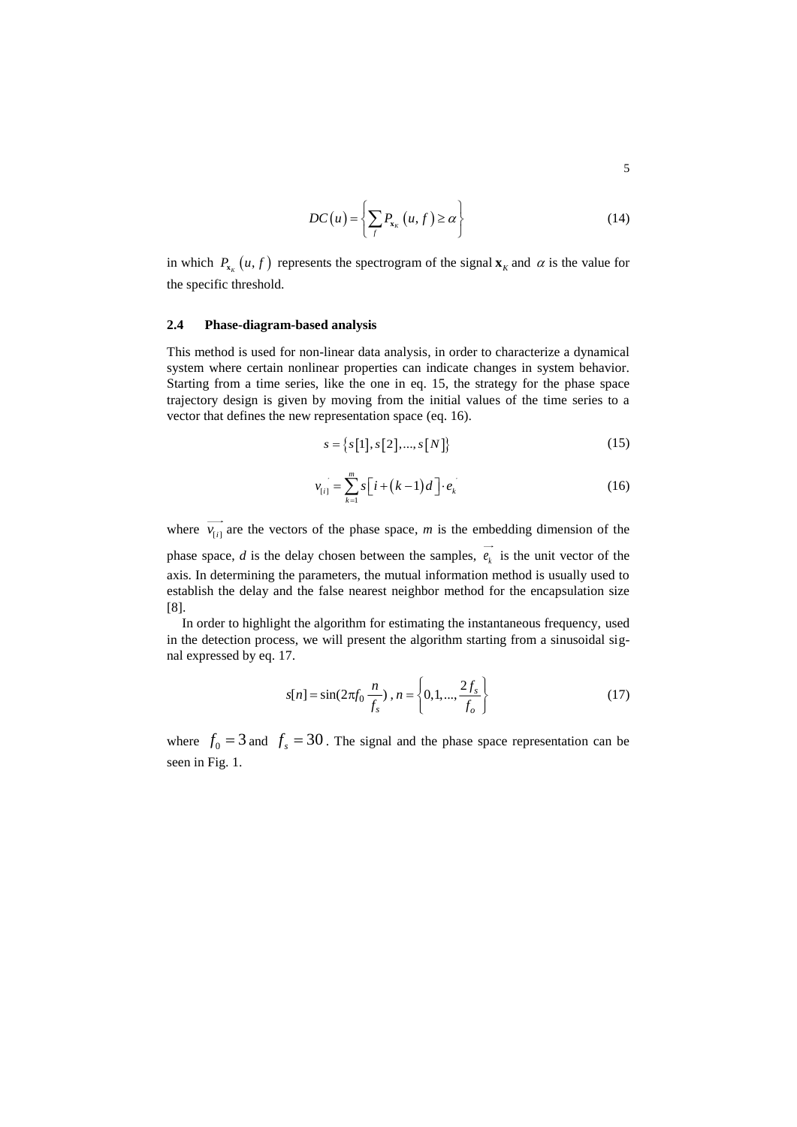$$
DC(u) = \left\{ \sum_{f} P_{x_{k}}(u, f) \ge \alpha \right\}
$$
 (14)

in which  $P_{\mathbf{x}_k}(u, f)$  represents the spectrogram of the signal  $\mathbf{x}_k$  and  $\alpha$  is the value for the specific threshold.

#### **2.4 Phase-diagram-based analysis**

This method is used for non-linear data analysis, in order to characterize a dynamical system where certain nonlinear properties can indicate changes in system behavior. Starting from a time series, like the one in eq. 15, the strategy for the phase space trajectory design is given by moving from the initial values of the time series to a vector that defines the new representation space (eq. 16).

$$
s = \{s[1], s[2], ..., s[N]\}
$$
 (15)

$$
\overrightarrow{v_{[i]}} = \sum_{k=1}^{m} s \left[ i + (k-1)d \right] \cdot \overrightarrow{e_k}
$$
 (16)

where  $v_{[i]}$  are the vectors of the phase space, *m* is the embedding dimension of the phase space,  $d$  is the delay chosen between the samples,  $e_k$  is the unit vector of the axis. In determining the parameters, the mutual information method is usually used to establish the delay and the false nearest neighbor method for the encapsulation size [8].

In order to highlight the algorithm for estimating the instantaneous frequency, used in the detection process, we will present the algorithm starting from a sinusoidal signal expressed by eq. 17.

$$
s[n] = \sin(2\pi f_0 \frac{n}{f_s}), n = \left\{0, 1, ..., \frac{2f_s}{f_o}\right\}
$$
 (17)

where  $f_0 = 3$  and  $f_s = 30$ . The signal and the phase space representation can be seen in Fig. 1.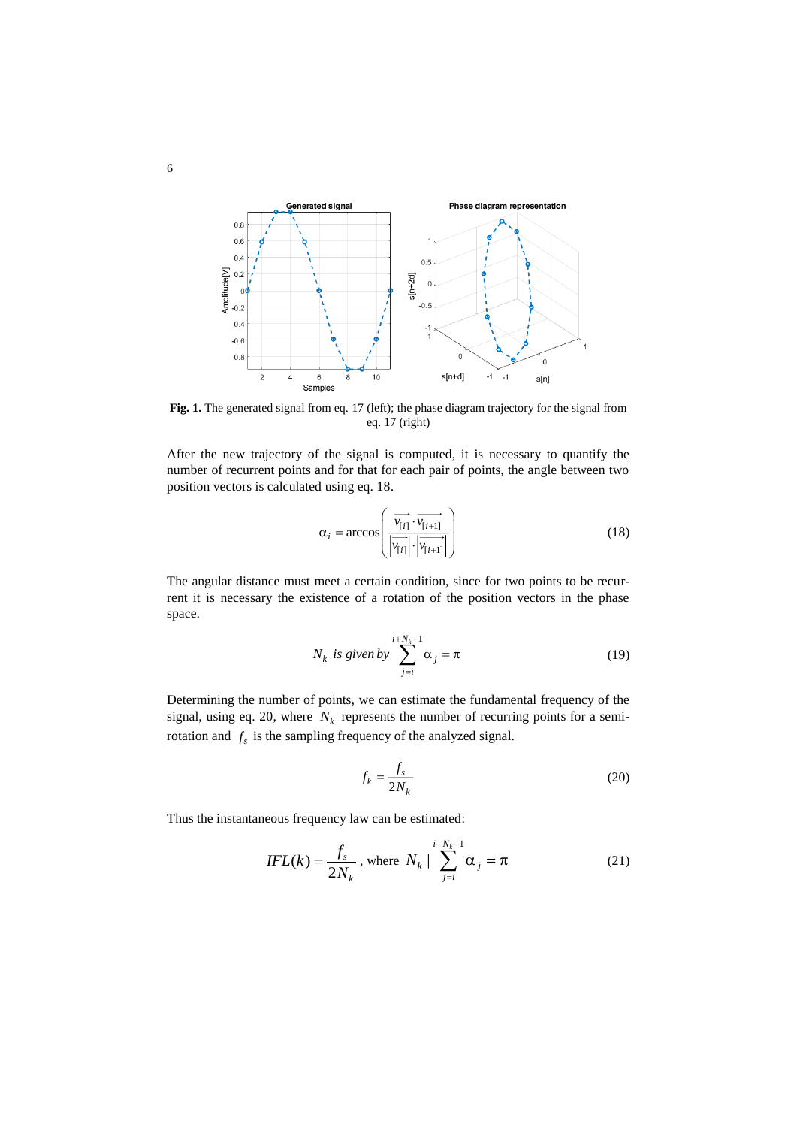

Fig. 1. The generated signal from eq. 17 (left); the phase diagram trajectory for the signal from eq. 17 (right)

After the new trajectory of the signal is computed, it is necessary to quantify the number of recurrent points and for that for each pair of points, the angle between two position vectors is calculated using eq. 18.

$$
\alpha_{i} = \arccos\left(\frac{\overrightarrow{v_{[i]}} \cdot \overrightarrow{v_{[i+1]}}}{\left|\overrightarrow{v_{[i]}}\right| \cdot \left|\overrightarrow{v_{[i+1]}}\right|}\right) \tag{18}
$$

The angular distance must meet a certain condition, since for two points to be recurrent it is necessary the existence of a rotation of the position vectors in the phase space.

$$
N_k \text{ is given by } \sum_{j=i}^{i+N_k-1} \alpha_j = \pi \tag{19}
$$

Determining the number of points, we can estimate the fundamental frequency of the signal, using eq. 20, where  $N_k$  represents the number of recurring points for a semirotation and  $f_s$  is the sampling frequency of the analyzed signal.

$$
f_k = \frac{f_s}{2N_k} \tag{20}
$$

Thus the instantaneous frequency law can be estimated:

$$
IFL(k) = \frac{f_s}{2N_k}, \text{ where } N_k \mid \sum_{j=i}^{i+N_k-1} \alpha_j = \pi \tag{21}
$$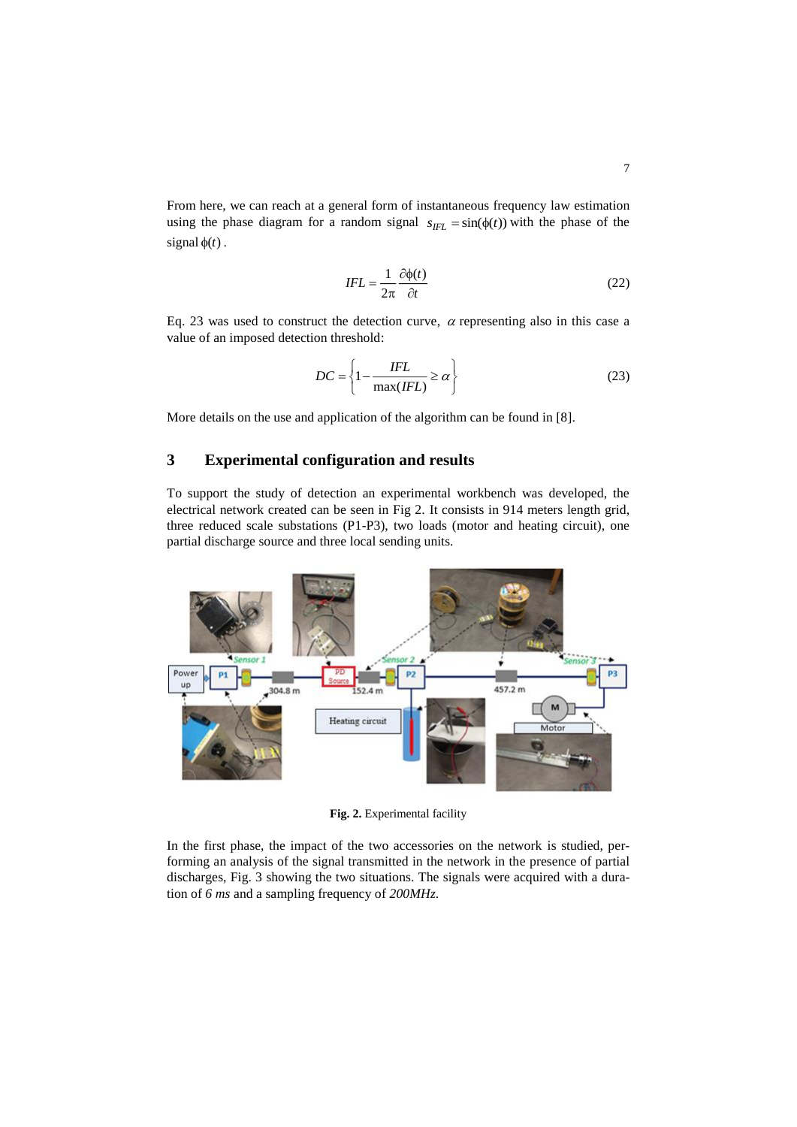From here, we can reach at a general form of instantaneous frequency law estimation using the phase diagram for a random signal  $s_{IFL} = \sin(\phi(t))$  with the phase of the signal  $\phi(t)$ .

$$
IFL = \frac{1}{2\pi} \frac{\partial \phi(t)}{\partial t}
$$
 (22)

Eq. 23 was used to construct the detection curve,  $\alpha$  representing also in this case a value of an imposed detection threshold:

$$
DC = \left\{1 - \frac{IFL}{\max (IFL)} \ge \alpha\right\}
$$
 (23)

More details on the use and application of the algorithm can be found in [8].

# **3 Experimental configuration and results**

To support the study of detection an experimental workbench was developed, the electrical network created can be seen in Fig 2. It consists in 914 meters length grid, three reduced scale substations (P1-P3), two loads (motor and heating circuit), one partial discharge source and three local sending units.



**Fig. 2.** Experimental facility

In the first phase, the impact of the two accessories on the network is studied, performing an analysis of the signal transmitted in the network in the presence of partial discharges, Fig. 3 showing the two situations. The signals were acquired with a duration of *6 ms* and a sampling frequency of *200MHz*.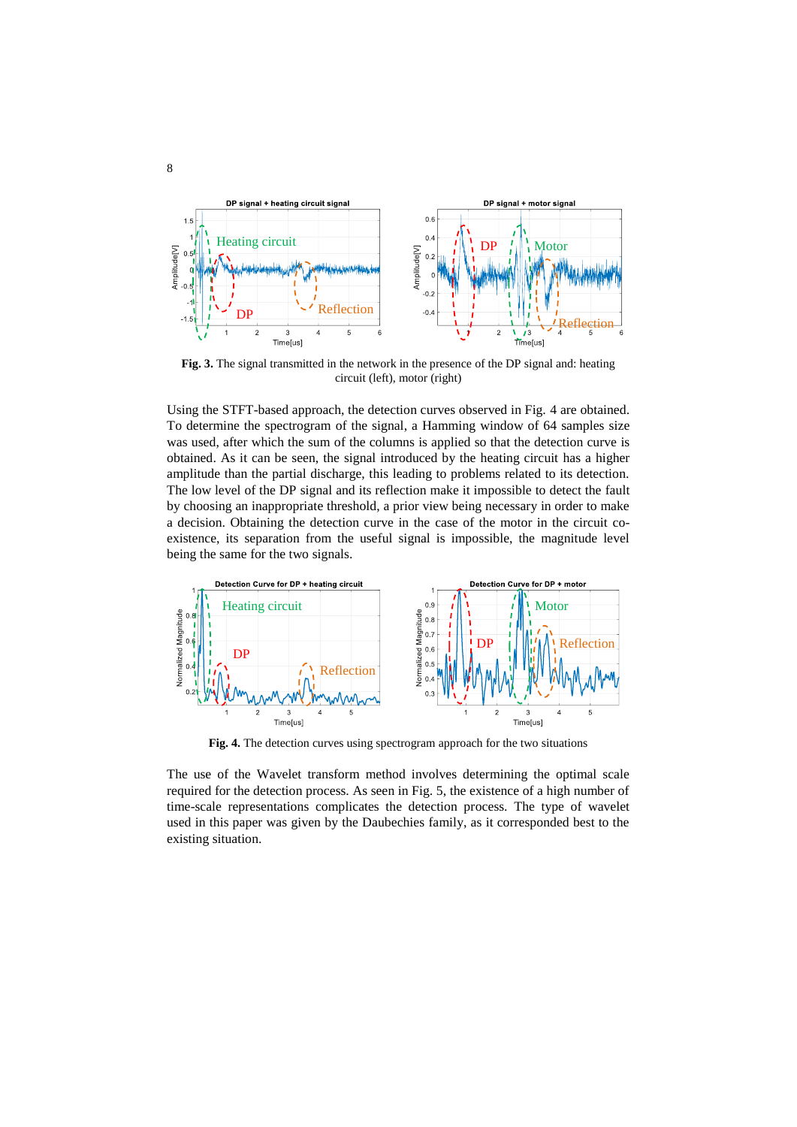

**Fig. 3.** The signal transmitted in the network in the presence of the DP signal and: heating circuit (left), motor (right)

Using the STFT-based approach, the detection curves observed in Fig. 4 are obtained. To determine the spectrogram of the signal, a Hamming window of 64 samples size was used, after which the sum of the columns is applied so that the detection curve is obtained. As it can be seen, the signal introduced by the heating circuit has a higher amplitude than the partial discharge, this leading to problems related to its detection. The low level of the DP signal and its reflection make it impossible to detect the fault by choosing an inappropriate threshold, a prior view being necessary in order to make a decision. Obtaining the detection curve in the case of the motor in the circuit coexistence, its separation from the useful signal is impossible, the magnitude level being the same for the two signals.



**Fig. 4.** The detection curves using spectrogram approach for the two situations

The use of the Wavelet transform method involves determining the optimal scale required for the detection process. As seen in Fig. 5, the existence of a high number of time-scale representations complicates the detection process. The type of wavelet used in this paper was given by the Daubechies family, as it corresponded best to the existing situation.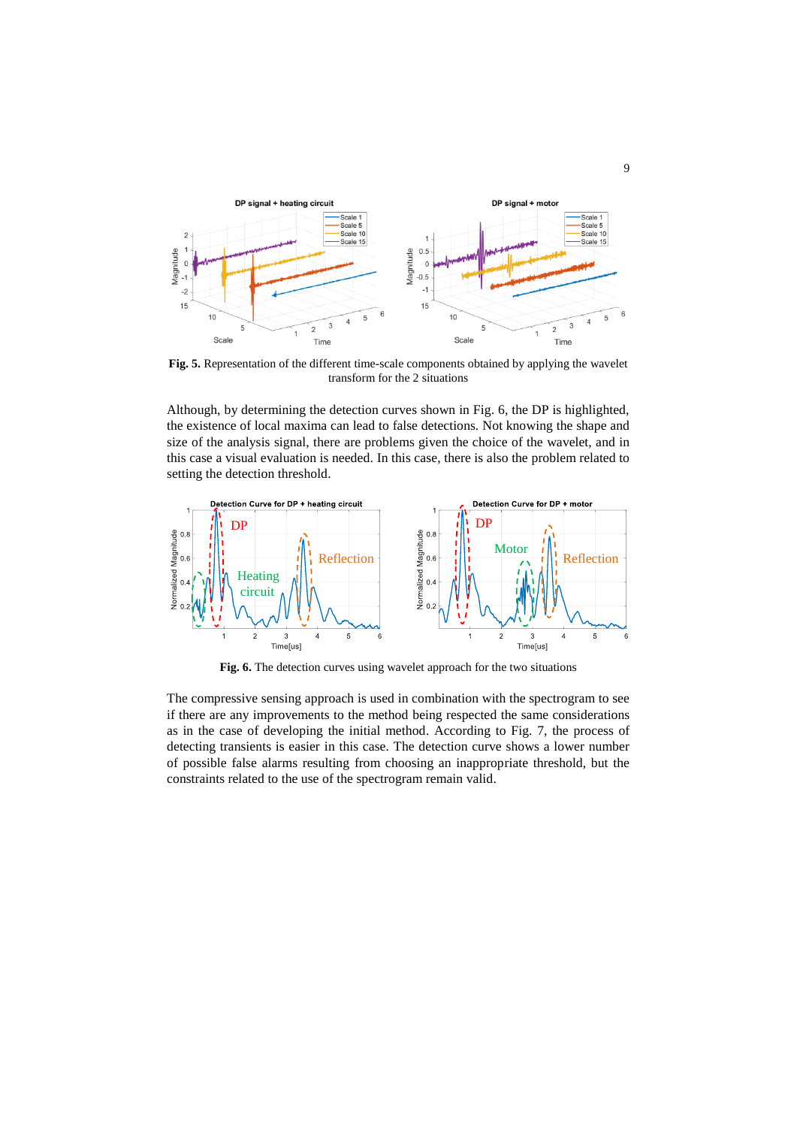

**Fig. 5.** Representation of the different time-scale components obtained by applying the wavelet transform for the 2 situations

Although, by determining the detection curves shown in Fig. 6, the DP is highlighted, the existence of local maxima can lead to false detections. Not knowing the shape and size of the analysis signal, there are problems given the choice of the wavelet, and in this case a visual evaluation is needed. In this case, there is also the problem related to setting the detection threshold.



**Fig. 6.** The detection curves using wavelet approach for the two situations

The compressive sensing approach is used in combination with the spectrogram to see if there are any improvements to the method being respected the same considerations as in the case of developing the initial method. According to Fig. 7, the process of detecting transients is easier in this case. The detection curve shows a lower number of possible false alarms resulting from choosing an inappropriate threshold, but the constraints related to the use of the spectrogram remain valid.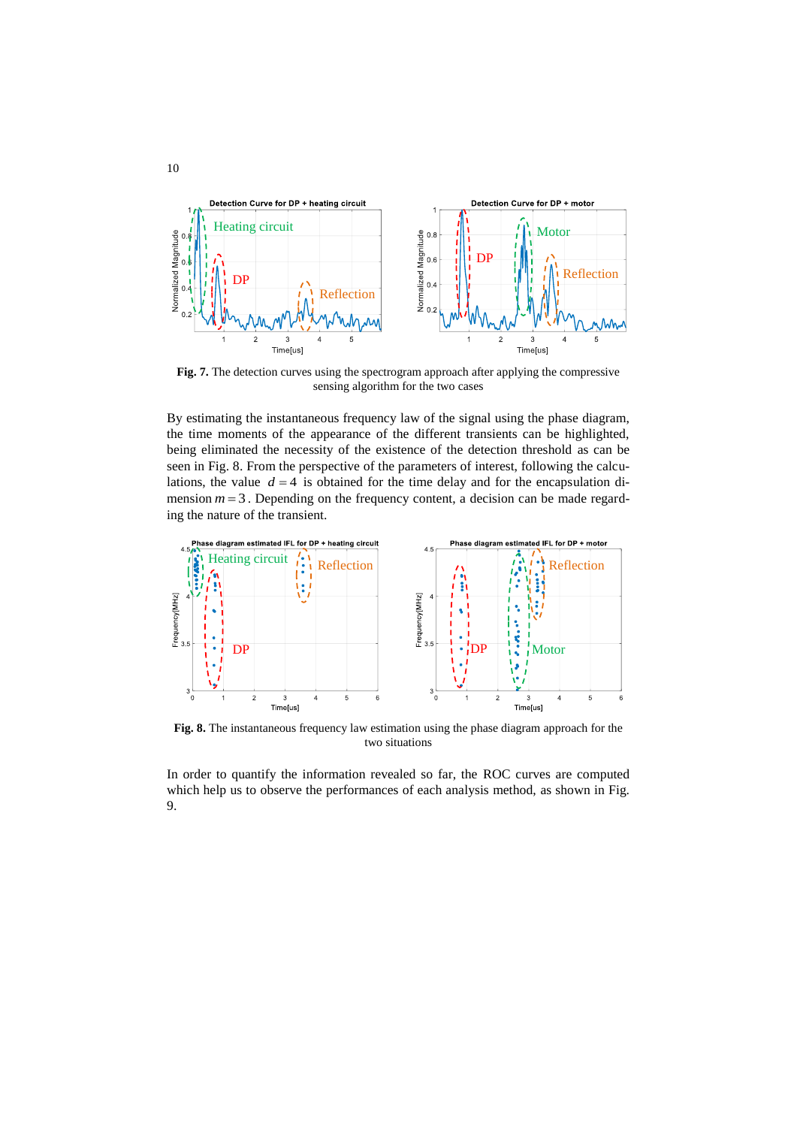

Fig. 7. The detection curves using the spectrogram approach after applying the compressive sensing algorithm for the two cases

By estimating the instantaneous frequency law of the signal using the phase diagram, the time moments of the appearance of the different transients can be highlighted, being eliminated the necessity of the existence of the detection threshold as can be seen in Fig. 8. From the perspective of the parameters of interest, following the calculations, the value  $d = 4$  is obtained for the time delay and for the encapsulation dimension  $m = 3$ . Depending on the frequency content, a decision can be made regarding the nature of the transient.



**Fig. 8.** The instantaneous frequency law estimation using the phase diagram approach for the two situations

In order to quantify the information revealed so far, the ROC curves are computed which help us to observe the performances of each analysis method, as shown in Fig. 9.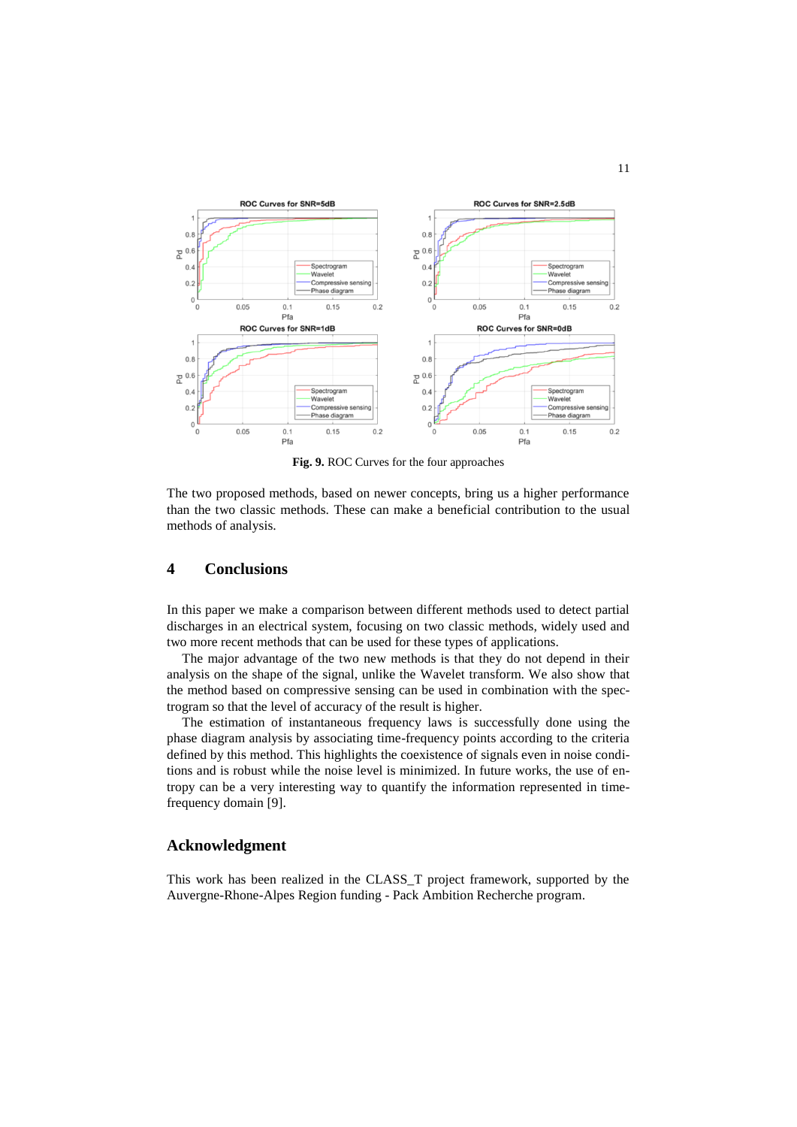

**Fig. 9.** ROC Curves for the four approaches

The two proposed methods, based on newer concepts, bring us a higher performance than the two classic methods. These can make a beneficial contribution to the usual methods of analysis.

# **4 Conclusions**

In this paper we make a comparison between different methods used to detect partial discharges in an electrical system, focusing on two classic methods, widely used and two more recent methods that can be used for these types of applications.

The major advantage of the two new methods is that they do not depend in their analysis on the shape of the signal, unlike the Wavelet transform. We also show that the method based on compressive sensing can be used in combination with the spectrogram so that the level of accuracy of the result is higher.

The estimation of instantaneous frequency laws is successfully done using the phase diagram analysis by associating time-frequency points according to the criteria defined by this method. This highlights the coexistence of signals even in noise conditions and is robust while the noise level is minimized. In future works, the use of entropy can be a very interesting way to quantify the information represented in timefrequency domain [9].

# **Acknowledgment**

This work has been realized in the CLASS\_T project framework, supported by the Auvergne-Rhone-Alpes Region funding - Pack Ambition Recherche program.